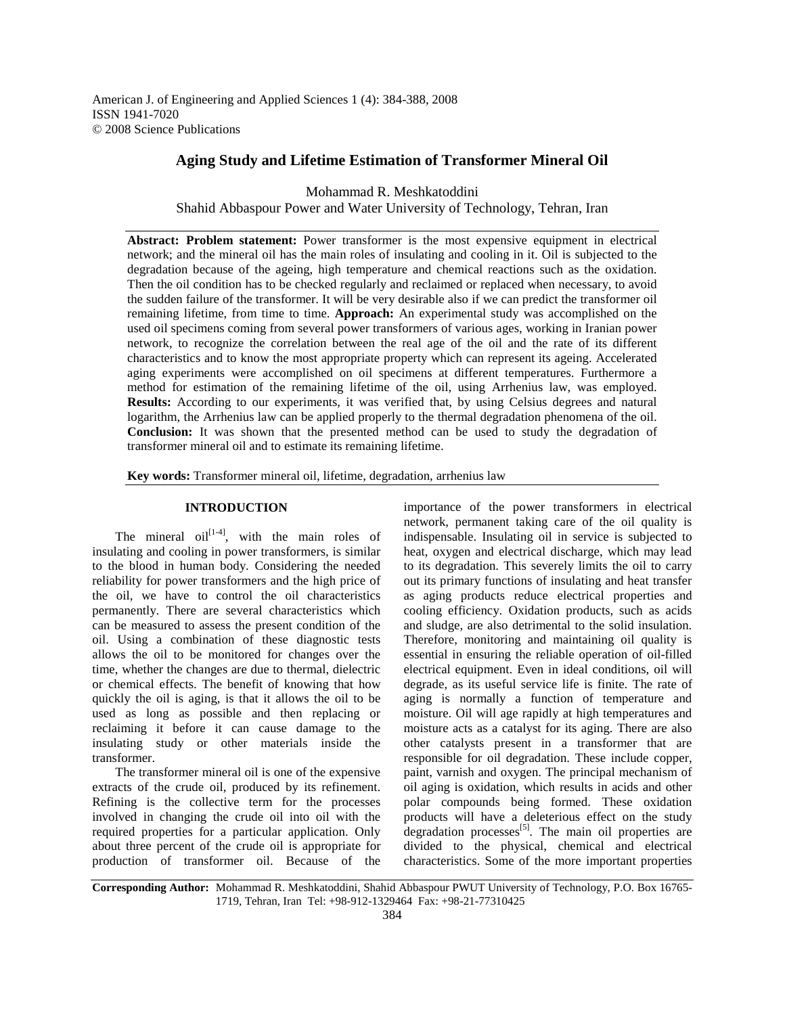American J. of Engineering and Applied Sciences 1 (4): 384-388, 2008 ISSN 1941-7020 © 2008 Science Publications

# **Aging Study and Lifetime Estimation of Transformer Mineral Oil**

Mohammad R. Meshkatoddini

Shahid Abbaspour Power and Water University of Technology, Tehran, Iran

**Abstract: Problem statement:** Power transformer is the most expensive equipment in electrical network; and the mineral oil has the main roles of insulating and cooling in it. Oil is subjected to the degradation because of the ageing, high temperature and chemical reactions such as the oxidation. Then the oil condition has to be checked regularly and reclaimed or replaced when necessary, to avoid the sudden failure of the transformer. It will be very desirable also if we can predict the transformer oil remaining lifetime, from time to time. **Approach:** An experimental study was accomplished on the used oil specimens coming from several power transformers of various ages, working in Iranian power network, to recognize the correlation between the real age of the oil and the rate of its different characteristics and to know the most appropriate property which can represent its ageing. Accelerated aging experiments were accomplished on oil specimens at different temperatures. Furthermore a method for estimation of the remaining lifetime of the oil, using Arrhenius law, was employed. **Results:** According to our experiments, it was verified that, by using Celsius degrees and natural logarithm, the Arrhenius law can be applied properly to the thermal degradation phenomena of the oil. **Conclusion:** It was shown that the presented method can be used to study the degradation of transformer mineral oil and to estimate its remaining lifetime.

**Key words:** Transformer mineral oil, lifetime, degradation, arrhenius law

# **INTRODUCTION**

The mineral  $\text{oil}^{[1-4]}$ , with the main roles of insulating and cooling in power transformers, is similar to the blood in human body. Considering the needed reliability for power transformers and the high price of the oil, we have to control the oil characteristics permanently. There are several characteristics which can be measured to assess the present condition of the oil. Using a combination of these diagnostic tests allows the oil to be monitored for changes over the time, whether the changes are due to thermal, dielectric or chemical effects. The benefit of knowing that how quickly the oil is aging, is that it allows the oil to be used as long as possible and then replacing or reclaiming it before it can cause damage to the insulating study or other materials inside the transformer.

 The transformer mineral oil is one of the expensive extracts of the crude oil, produced by its refinement. Refining is the collective term for the processes involved in changing the crude oil into oil with the required properties for a particular application. Only about three percent of the crude oil is appropriate for production of transformer oil. Because of the

importance of the power transformers in electrical network, permanent taking care of the oil quality is indispensable. Insulating oil in service is subjected to heat, oxygen and electrical discharge, which may lead to its degradation. This severely limits the oil to carry out its primary functions of insulating and heat transfer as aging products reduce electrical properties and cooling efficiency. Oxidation products, such as acids and sludge, are also detrimental to the solid insulation. Therefore, monitoring and maintaining oil quality is essential in ensuring the reliable operation of oil-filled electrical equipment. Even in ideal conditions, oil will degrade, as its useful service life is finite. The rate of aging is normally a function of temperature and moisture. Oil will age rapidly at high temperatures and moisture acts as a catalyst for its aging. There are also other catalysts present in a transformer that are responsible for oil degradation. These include copper, paint, varnish and oxygen. The principal mechanism of oil aging is oxidation, which results in acids and other polar compounds being formed. These oxidation products will have a deleterious effect on the study  $degradation$  processes $[5]$ . The main oil properties are divided to the physical, chemical and electrical characteristics. Some of the more important properties

**Corresponding Author:** Mohammad R. Meshkatoddini, Shahid Abbaspour PWUT University of Technology, P.O. Box 16765- 1719, Tehran, Iran Tel: +98-912-1329464 Fax: +98-21-77310425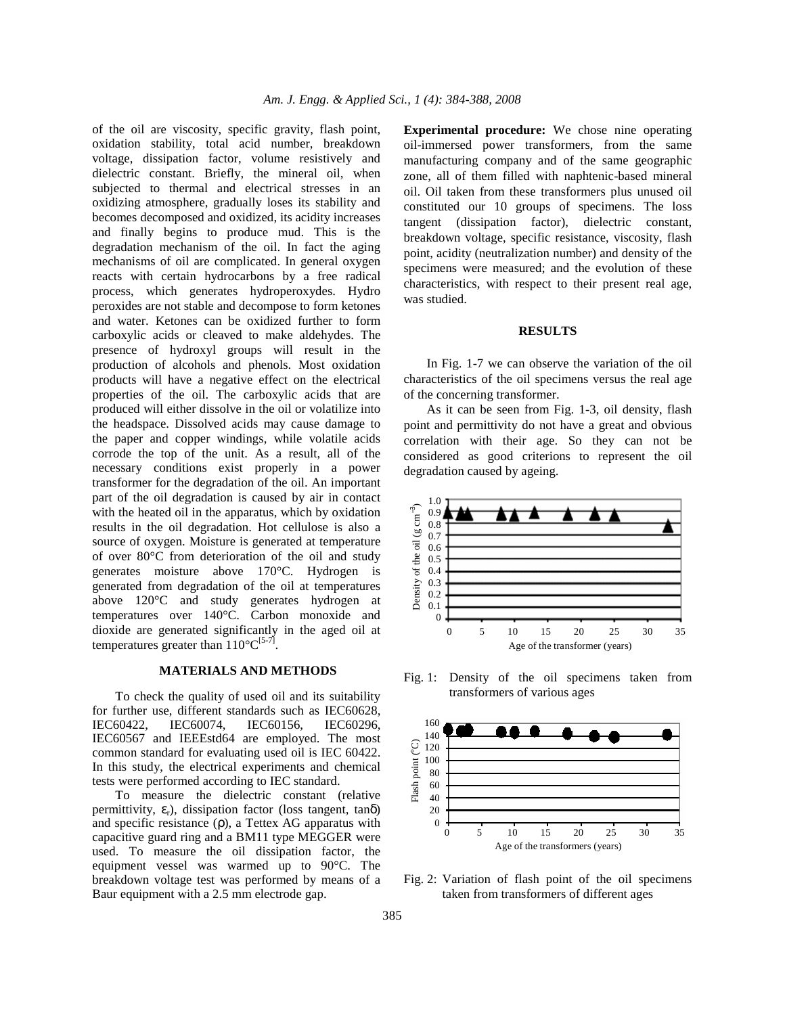of the oil are viscosity, specific gravity, flash point, oxidation stability, total acid number, breakdown voltage, dissipation factor, volume resistively and dielectric constant. Briefly, the mineral oil, when subjected to thermal and electrical stresses in an oxidizing atmosphere, gradually loses its stability and becomes decomposed and oxidized, its acidity increases and finally begins to produce mud. This is the degradation mechanism of the oil. In fact the aging mechanisms of oil are complicated. In general oxygen reacts with certain hydrocarbons by a free radical process, which generates hydroperoxydes. Hydro peroxides are not stable and decompose to form ketones and water. Ketones can be oxidized further to form carboxylic acids or cleaved to make aldehydes. The presence of hydroxyl groups will result in the production of alcohols and phenols. Most oxidation products will have a negative effect on the electrical properties of the oil. The carboxylic acids that are produced will either dissolve in the oil or volatilize into the headspace. Dissolved acids may cause damage to the paper and copper windings, while volatile acids corrode the top of the unit. As a result, all of the necessary conditions exist properly in a power transformer for the degradation of the oil. An important part of the oil degradation is caused by air in contact with the heated oil in the apparatus, which by oxidation results in the oil degradation. Hot cellulose is also a source of oxygen. Moisture is generated at temperature of over 80°C from deterioration of the oil and study generates moisture above 170°C. Hydrogen is generated from degradation of the oil at temperatures above 120°C and study generates hydrogen at temperatures over 140°C. Carbon monoxide and dioxide are generated significantly in the aged oil at temperatures greater than  $110^{\circ}C^{[5-7]}$ .

# **MATERIALS AND METHODS**

 To check the quality of used oil and its suitability for further use, different standards such as IEC60628, IEC60422, IEC60074, IEC60156, IEC60296, IEC60567 and IEEEstd64 are employed. The most common standard for evaluating used oil is IEC 60422. In this study, the electrical experiments and chemical tests were performed according to IEC standard.

 To measure the dielectric constant (relative permittivity,  $\varepsilon_r$ ), dissipation factor (loss tangent, tan $\delta$ ) and specific resistance  $(\rho)$ , a Tettex AG apparatus with capacitive guard ring and a BM11 type MEGGER were used. To measure the oil dissipation factor, the equipment vessel was warmed up to 90°C. The breakdown voltage test was performed by means of a Baur equipment with a 2.5 mm electrode gap.

**Experimental procedure:** We chose nine operating oil-immersed power transformers, from the same manufacturing company and of the same geographic zone, all of them filled with naphtenic-based mineral oil. Oil taken from these transformers plus unused oil constituted our 10 groups of specimens. The loss tangent (dissipation factor), dielectric constant, breakdown voltage, specific resistance, viscosity, flash point, acidity (neutralization number) and density of the specimens were measured; and the evolution of these characteristics, with respect to their present real age, was studied.

#### **RESULTS**

 In Fig. 1-7 we can observe the variation of the oil characteristics of the oil specimens versus the real age of the concerning transformer.

 As it can be seen from Fig. 1-3, oil density, flash point and permittivity do not have a great and obvious correlation with their age. So they can not be considered as good criterions to represent the oil degradation caused by ageing.



Fig. 1: Density of the oil specimens taken from transformers of various ages



Fig. 2: Variation of flash point of the oil specimens taken from transformers of different ages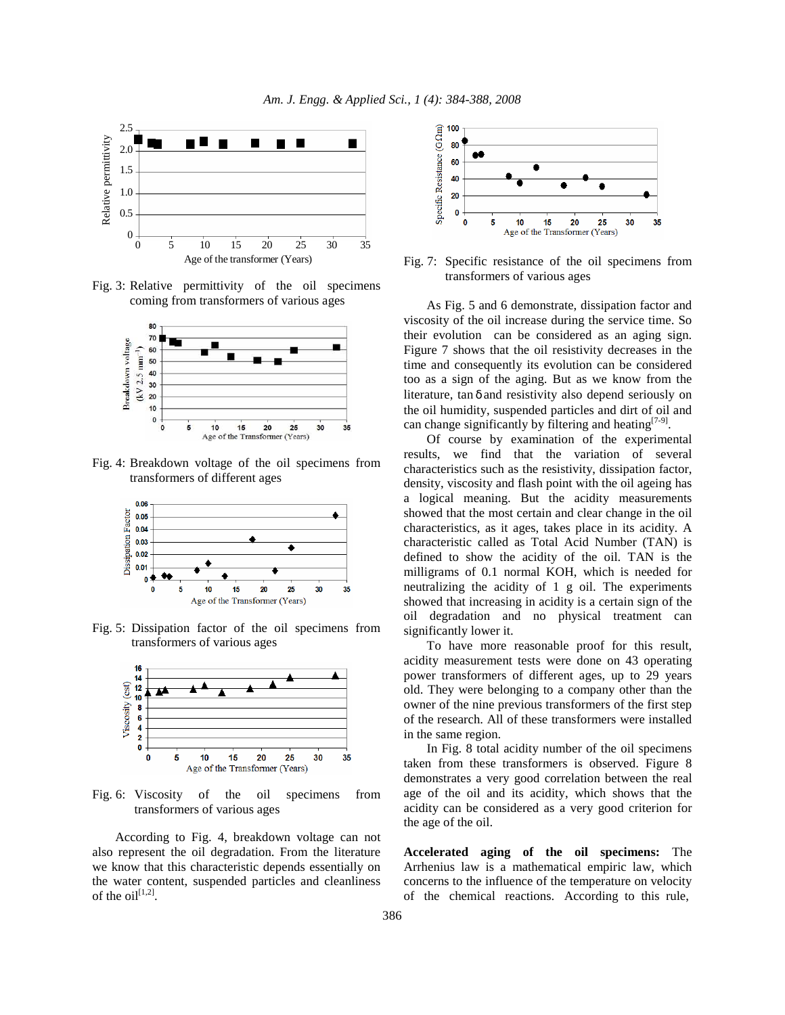

Fig. 3: Relative permittivity of the oil specimens coming from transformers of various ages



Fig. 4: Breakdown voltage of the oil specimens from transformers of different ages



Fig. 5: Dissipation factor of the oil specimens from transformers of various ages



Fig. 6: Viscosity of the oil specimens from transformers of various ages

 According to Fig. 4, breakdown voltage can not also represent the oil degradation. From the literature we know that this characteristic depends essentially on the water content, suspended particles and cleanliness of the  $\text{oil}^{[1,2]}$ .



Fig. 7: Specific resistance of the oil specimens from transformers of various ages

 As Fig. 5 and 6 demonstrate, dissipation factor and viscosity of the oil increase during the service time. So their evolution can be considered as an aging sign. Figure 7 shows that the oil resistivity decreases in the time and consequently its evolution can be considered too as a sign of the aging. But as we know from the literature, tan δ and resistivity also depend seriously on the oil humidity, suspended particles and dirt of oil and can change significantly by filtering and heating<sup>[7-9]</sup>.

 Of course by examination of the experimental results, we find that the variation of several characteristics such as the resistivity, dissipation factor, density, viscosity and flash point with the oil ageing has a logical meaning. But the acidity measurements showed that the most certain and clear change in the oil characteristics, as it ages, takes place in its acidity. A characteristic called as Total Acid Number (TAN) is defined to show the acidity of the oil. TAN is the milligrams of 0.1 normal KOH, which is needed for neutralizing the acidity of 1 g oil. The experiments showed that increasing in acidity is a certain sign of the oil degradation and no physical treatment can significantly lower it.

 To have more reasonable proof for this result, acidity measurement tests were done on 43 operating power transformers of different ages, up to 29 years old. They were belonging to a company other than the owner of the nine previous transformers of the first step of the research. All of these transformers were installed in the same region.

 In Fig. 8 total acidity number of the oil specimens taken from these transformers is observed. Figure 8 demonstrates a very good correlation between the real age of the oil and its acidity, which shows that the acidity can be considered as a very good criterion for the age of the oil.

**Accelerated aging of the oil specimens:** The Arrhenius law is a mathematical empiric law, which concerns to the influence of the temperature on velocity of the chemical reactions. According to this rule,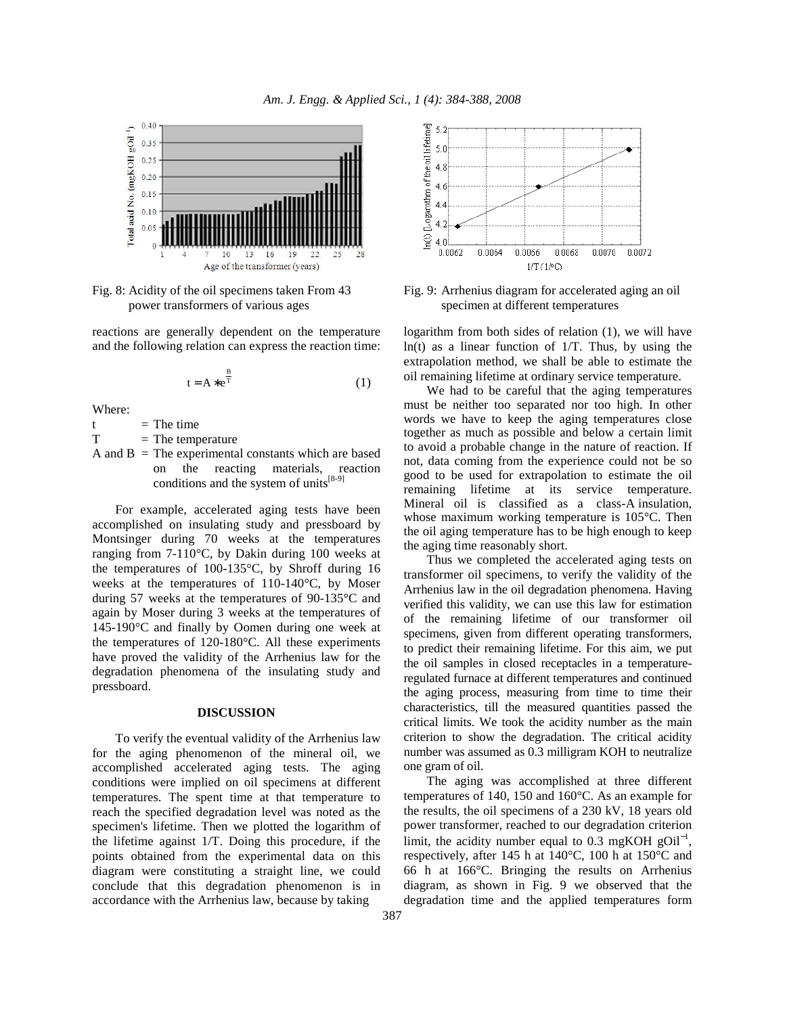

Fig. 8: Acidity of the oil specimens taken From 43 power transformers of various ages

reactions are generally dependent on the temperature and the following relation can express the reaction time:

$$
t = A * e^{\frac{B}{T}}
$$
 (1)

Where:

 $t =$ The time

- $T =$ The temperature
- A and  $B =$  The experimental constants which are based on the reacting materials, reaction conditions and the system of units[8-9]

 For example, accelerated aging tests have been accomplished on insulating study and pressboard by Montsinger during 70 weeks at the temperatures ranging from 7-110°C, by Dakin during 100 weeks at the temperatures of 100-135°C, by Shroff during 16 weeks at the temperatures of 110-140°C, by Moser during 57 weeks at the temperatures of 90-135°C and again by Moser during 3 weeks at the temperatures of 145-190°C and finally by Oomen during one week at the temperatures of 120-180°C. All these experiments have proved the validity of the Arrhenius law for the degradation phenomena of the insulating study and pressboard.

#### **DISCUSSION**

 To verify the eventual validity of the Arrhenius law for the aging phenomenon of the mineral oil, we accomplished accelerated aging tests. The aging conditions were implied on oil specimens at different temperatures. The spent time at that temperature to reach the specified degradation level was noted as the specimen's lifetime. Then we plotted the logarithm of the lifetime against 1/T. Doing this procedure, if the points obtained from the experimental data on this diagram were constituting a straight line, we could conclude that this degradation phenomenon is in accordance with the Arrhenius law, because by taking



Fig. 9: Arrhenius diagram for accelerated aging an oil specimen at different temperatures

logarithm from both sides of relation (1), we will have  $ln(t)$  as a linear function of  $1/T$ . Thus, by using the extrapolation method, we shall be able to estimate the oil remaining lifetime at ordinary service temperature.

 We had to be careful that the aging temperatures must be neither too separated nor too high. In other words we have to keep the aging temperatures close together as much as possible and below a certain limit to avoid a probable change in the nature of reaction. If not, data coming from the experience could not be so good to be used for extrapolation to estimate the oil remaining lifetime at its service temperature. Mineral oil is classified as a class-A insulation, whose maximum working temperature is 105°C. Then the oil aging temperature has to be high enough to keep the aging time reasonably short.

 Thus we completed the accelerated aging tests on transformer oil specimens, to verify the validity of the Arrhenius law in the oil degradation phenomena. Having verified this validity, we can use this law for estimation of the remaining lifetime of our transformer oil specimens, given from different operating transformers, to predict their remaining lifetime. For this aim, we put the oil samples in closed receptacles in a temperatureregulated furnace at different temperatures and continued the aging process, measuring from time to time their characteristics, till the measured quantities passed the critical limits. We took the acidity number as the main criterion to show the degradation. The critical acidity number was assumed as 0.3 milligram KOH to neutralize one gram of oil.

 The aging was accomplished at three different temperatures of 140, 150 and 160°C. As an example for the results, the oil specimens of a 230 kV, 18 years old power transformer, reached to our degradation criterion limit, the acidity number equal to 0.3 mgKOH  $gOiI^{-1}$ , respectively, after 145 h at 140°C, 100 h at 150°C and 66 h at 166°C. Bringing the results on Arrhenius diagram, as shown in Fig. 9 we observed that the degradation time and the applied temperatures form